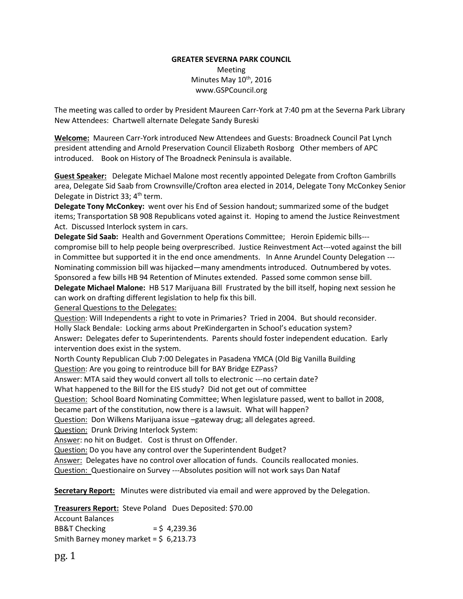## **GREATER SEVERNA PARK COUNCIL** Meeting Minutes May 10<sup>th</sup>, 2016 www.GSPCouncil.org

The meeting was called to order by President Maureen Carr-York at 7:40 pm at the Severna Park Library New Attendees: Chartwell alternate Delegate Sandy Bureski

**Welcome:** Maureen Carr-York introduced New Attendees and Guests: Broadneck Council Pat Lynch president attending and Arnold Preservation Council Elizabeth Rosborg Other members of APC introduced. Book on History of The Broadneck Peninsula is available.

**Guest Speaker:** Delegate Michael Malone most recently appointed Delegate from Crofton Gambrills area, Delegate Sid Saab from Crownsville/Crofton area elected in 2014, Delegate Tony McConkey Senior Delegate in District 33; 4<sup>th</sup> term.

**Delegate Tony McConkey:** went over his End of Session handout; summarized some of the budget items; Transportation SB 908 Republicans voted against it. Hoping to amend the Justice Reinvestment Act. Discussed Interlock system in cars.

**Delegate Sid Saab:** Health and Government Operations Committee; Heroin Epidemic bills-- compromise bill to help people being overprescribed. Justice Reinvestment Act---voted against the bill in Committee but supported it in the end once amendments. In Anne Arundel County Delegation --- Nominating commission bill was hijacked—many amendments introduced. Outnumbered by votes. Sponsored a few bills HB 94 Retention of Minutes extended. Passed some common sense bill. **Delegate Michael Malone:** HB 517 Marijuana Bill Frustrated by the bill itself, hoping next session he can work on drafting different legislation to help fix this bill.

General Questions to the Delegates:

Question: Will Independents a right to vote in Primaries? Tried in 2004. But should reconsider. Holly Slack Bendale: Locking arms about PreKindergarten in School's education system? Answer**:** Delegates defer to Superintendents. Parents should foster independent education. Early intervention does exist in the system.

North County Republican Club 7:00 Delegates in Pasadena YMCA (Old Big Vanilla Building Question: Are you going to reintroduce bill for BAY Bridge EZPass?

Answer: MTA said they would convert all tolls to electronic ---no certain date?

What happened to the Bill for the EIS study? Did not get out of committee

Question: School Board Nominating Committee; When legislature passed, went to ballot in 2008,

became part of the constitution, now there is a lawsuit. What will happen?

Question: Don Wilkens Marijuana issue -gateway drug; all delegates agreed.

Question: Drunk Driving Interlock System:

Answer: no hit on Budget. Cost is thrust on Offender.

Question: Do you have any control over the Superintendent Budget?

Answer: Delegates have no control over allocation of funds. Councils reallocated monies.

Question: Questionaire on Survey ---Absolutes position will not work says Dan Nataf

**Secretary Report:** Minutes were distributed via email and were approved by the Delegation.

**Treasurers Report:** Steve Poland Dues Deposited: \$70.00

Account Balances BB&T Checking  $=$  \$ 4,239.36 Smith Barney money market =  $$6,213.73$ 

pg. 1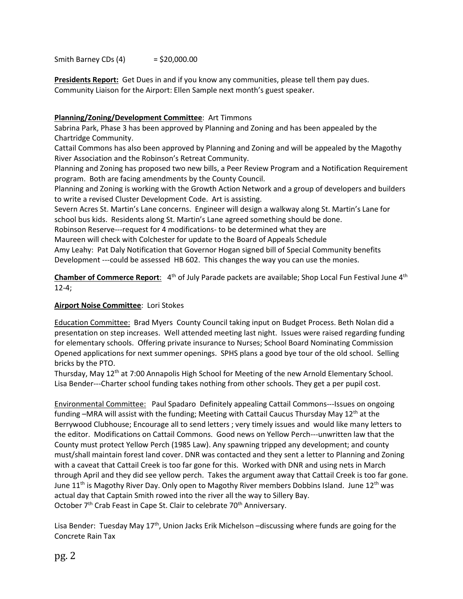Smith Barney CDs  $(4)$  = \$20,000.00

**Presidents Report:** Get Dues in and if you know any communities, please tell them pay dues. Community Liaison for the Airport: Ellen Sample next month's guest speaker.

# **Planning/Zoning/Development Committee**: Art Timmons

Sabrina Park, Phase 3 has been approved by Planning and Zoning and has been appealed by the Chartridge Community.

Cattail Commons has also been approved by Planning and Zoning and will be appealed by the Magothy River Association and the Robinson's Retreat Community.

Planning and Zoning has proposed two new bills, a Peer Review Program and a Notification Requirement program. Both are facing amendments by the County Council.

Planning and Zoning is working with the Growth Action Network and a group of developers and builders to write a revised Cluster Development Code. Art is assisting.

Severn Acres St. Martin's Lane concerns. Engineer will design a walkway along St. Martin's Lane for school bus kids. Residents along St. Martin's Lane agreed something should be done.

Robinson Reserve---request for 4 modifications- to be determined what they are

Maureen will check with Colchester for update to the Board of Appeals Schedule

Amy Leahy: Pat Daly Notification that Governor Hogan signed bill of Special Community benefits Development ---could be assessed HB 602. This changes the way you can use the monies.

**Chamber of Commerce Report**: 4<sup>th</sup> of July Parade packets are available; Shop Local Fun Festival June 4<sup>th</sup> 12-4;

# **Airport Noise Committee**: Lori Stokes

Education Committee: Brad Myers County Council taking input on Budget Process. Beth Nolan did a presentation on step increases. Well attended meeting last night. Issues were raised regarding funding for elementary schools. Offering private insurance to Nurses; School Board Nominating Commission Opened applications for next summer openings. SPHS plans a good bye tour of the old school. Selling bricks by the PTO.

Thursday, May 12<sup>th</sup> at 7:00 Annapolis High School for Meeting of the new Arnold Elementary School. Lisa Bender---Charter school funding takes nothing from other schools. They get a per pupil cost.

Environmental Committee: Paul Spadaro Definitely appealing Cattail Commons---Issues on ongoing funding –MRA will assist with the funding; Meeting with Cattail Caucus Thursday May  $12<sup>th</sup>$  at the Berrywood Clubhouse; Encourage all to send letters ; very timely issues and would like many letters to the editor. Modifications on Cattail Commons. Good news on Yellow Perch---unwritten law that the County must protect Yellow Perch (1985 Law). Any spawning tripped any development; and county must/shall maintain forest land cover. DNR was contacted and they sent a letter to Planning and Zoning with a caveat that Cattail Creek is too far gone for this. Worked with DNR and using nets in March through April and they did see yellow perch. Takes the argument away that Cattail Creek is too far gone. June 11<sup>th</sup> is Magothy River Day. Only open to Magothy River members Dobbins Island. June 12<sup>th</sup> was actual day that Captain Smith rowed into the river all the way to Sillery Bay. October 7<sup>th</sup> Crab Feast in Cape St. Clair to celebrate 70<sup>th</sup> Anniversary.

Lisa Bender: Tuesday May 17<sup>th</sup>, Union Jacks Erik Michelson –discussing where funds are going for the Concrete Rain Tax